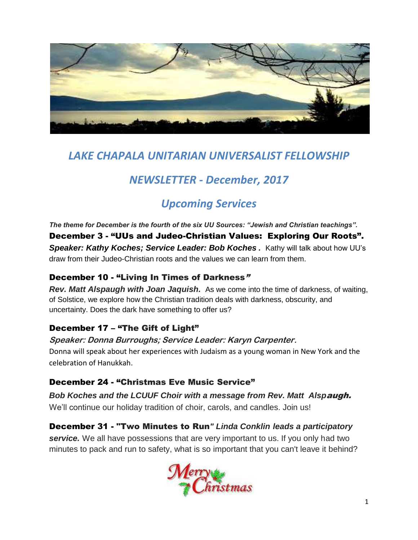

# *LAKE CHAPALA UNITARIAN UNIVERSALIST FELLOWSHIP*

# *NEWSLETTER - December, 2017*

# *Upcoming Services*

*The theme for December is the fourth of the six UU Sources: "Jewish and Christian teachings".* December 3 - "UUs and Judeo-Christian Values: Exploring Our Roots". **Speaker: Kathy Koches: Service Leader: Bob Koches.** Kathy will talk about how UU's draw from their Judeo-Christian roots and the values we can learn from them.

## December 10 - "Living In Times of Darkness"

*Rev. Matt Alspaugh with Joan Jaquish.* As we come into the time of darkness, of waiting, of Solstice, we explore how the Christian tradition deals with darkness, obscurity, and uncertainty. Does the dark have something to offer us?

## December 17 – "The Gift of Light"

**Speaker: Donna Burroughs; Service Leader: Karyn Carpenter.** Donna will speak about her experiences with Judaism as a young woman in New York and the celebration of Hanukkah.

## December 24 - "Christmas Eve Music Service"

*Bob Koches and the LCUUF Choir with a message from Rev. Matt Alsp*augh. We'll continue our holiday tradition of choir, carols, and candles. Join us!

## December 31 - "Two Minutes to Run*" Linda Conklin leads a participatory*

*service.* We all have possessions that are very important to us. If you only had two minutes to pack and run to safety, what is so important that you can't leave it behind?

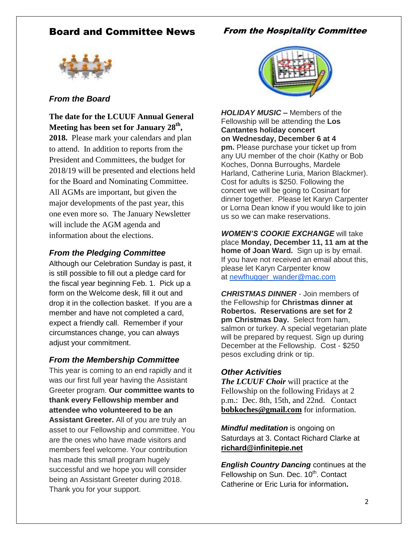## Board and Committee News

### From the Hospitality Committee



### *From the Board*

**The date for the LCUUF Annual General Meeting has been set for January 28th , 2018.** Please mark your calendars and plan to attend. In addition to reports from the President and Committees, the budget for 2018/19 will be presented and elections held for the Board and Nominating Committee. All AGMs are important, but given the major developments of the past year, this one even more so. The January Newsletter will include the AGM agenda and information about the elections.

#### *From the Pledging Committee*

Although our Celebration Sunday is past, it is still possible to fill out a pledge card for the fiscal year beginning Feb. 1. Pick up a form on the Welcome desk, fill it out and drop it in the collection basket. If you are a member and have not completed a card, expect a friendly call. Remember if your circumstances change, you can always adjust your commitment.

#### *From the Membership Committee*

This year is coming to an end rapidly and it was our first full year having the Assistant Greeter program. **Our committee wants to thank every Fellowship member and attendee who volunteered to be an Assistant Greeter.** All of you are truly an asset to our Fellowship and committee. You are the ones who have made visitors and members feel welcome. Your contribution has made this small program hugely successful and we hope you will consider being an Assistant Greeter during 2018. Thank you for your support.



*HOLIDAY MUSIC –* Members of the Fellowship will be attending the **Los Cantantes holiday concert on Wednesday, December 6 at 4 pm.** Please purchase your ticket up from any UU member of the choir (Kathy or Bob Koches, Donna Burroughs, Mardele Harland, Catherine Luria, Marion Blackmer). Cost for adults is \$250. Following the concert we will be going to Cosinart for dinner together. Please let Karyn Carpenter or Lorna Dean know if you would like to join us so we can make reservations.

*WOMEN'S COOKIE EXCHANGE* will take place **Monday, December 11, 11 am at the home of Joan Ward.** Sign up is by email. If you have not received an email about this, please let Karyn Carpenter know at [newfhugger\\_wander@mac.com](mailto:newfhugger_wander@mac.com)

*CHRISTMAS DINNER* - Join members of the Fellowship for **Christmas dinner at Robertos. Reservations are set for 2 pm Christmas Day.** Select from ham, salmon or turkey. A special vegetarian plate will be prepared by request. Sign up during December at the Fellowship. Cost - \$250 pesos excluding drink or tip.

#### *Other Activities*

*The LCUUF Choir* will practice at the Fellowship on the following Fridays at 2 p.m.: Dec. 8th, 15th, and 22nd. Contact **[bobkoches@gmail.com](mailto:bobkoches@gmail.com)** for information.

*Mindful meditation* is ongoing on Saturdays at 3. Contact Richard Clarke at **richard@infinitepie.net**

*English Country Dancing* continues at the Fellowship on Sun. Dec. 10<sup>th</sup>. Contact Catherine or Eric Luria for information**.**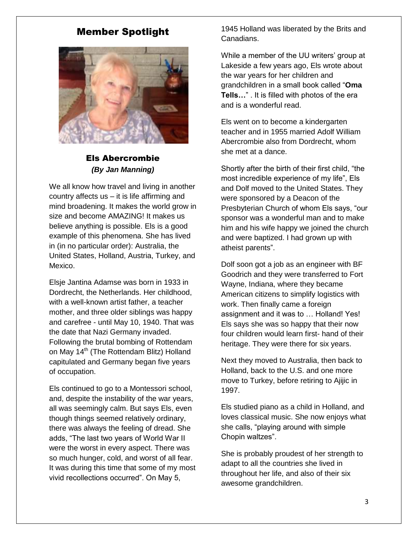## Member Spotlight



### Els Abercrombie *(By Jan Manning)*

We all know how travel and living in another country affects us – it is life affirming and mind broadening. It makes the world grow in size and become AMAZING! It makes us believe anything is possible. Els is a good example of this phenomena. She has lived in (in no particular order): Australia, the United States, Holland, Austria, Turkey, and Mexico.

Elsje Jantina Adamse was born in 1933 in Dordrecht, the Netherlands. Her childhood, with a well-known artist father, a teacher mother, and three older siblings was happy and carefree - until May 10, 1940. That was the date that Nazi Germany invaded. Following the brutal bombing of Rottendam on May 14<sup>th</sup> (The Rottendam Blitz) Holland capitulated and Germany began five years of occupation.

Els continued to go to a Montessori school, and, despite the instability of the war years, all was seemingly calm. But says Els, even though things seemed relatively ordinary, there was always the feeling of dread. She adds, "The last two years of World War II were the worst in every aspect. There was so much hunger, cold, and worst of all fear. It was during this time that some of my most vivid recollections occurred". On May 5,

1945 Holland was liberated by the Brits and Canadians.

While a member of the UU writers' group at Lakeside a few years ago, Els wrote about the war years for her children and grandchildren in a small book called "**Oma Tells…**" . It is filled with photos of the era and is a wonderful read.

Els went on to become a kindergarten teacher and in 1955 married Adolf William Abercrombie also from Dordrecht, whom she met at a dance.

Shortly after the birth of their first child, "the most incredible experience of my life", Els and Dolf moved to the United States. They were sponsored by a Deacon of the Presbyterian Church of whom Els says, "our sponsor was a wonderful man and to make him and his wife happy we joined the church and were baptized. I had grown up with atheist parents".

Dolf soon got a job as an engineer with BF Goodrich and they were transferred to Fort Wayne, Indiana, where they became American citizens to simplify logistics with work. Then finally came a foreign assignment and it was to … Holland! Yes! Els says she was so happy that their now four children would learn first- hand of their heritage. They were there for six years.

Next they moved to Australia, then back to Holland, back to the U.S. and one more move to Turkey, before retiring to Ajijic in 1997.

Els studied piano as a child in Holland, and loves classical music. She now enjoys what she calls, "playing around with simple Chopin waltzes".

She is probably proudest of her strength to adapt to all the countries she lived in throughout her life, and also of their six awesome grandchildren.